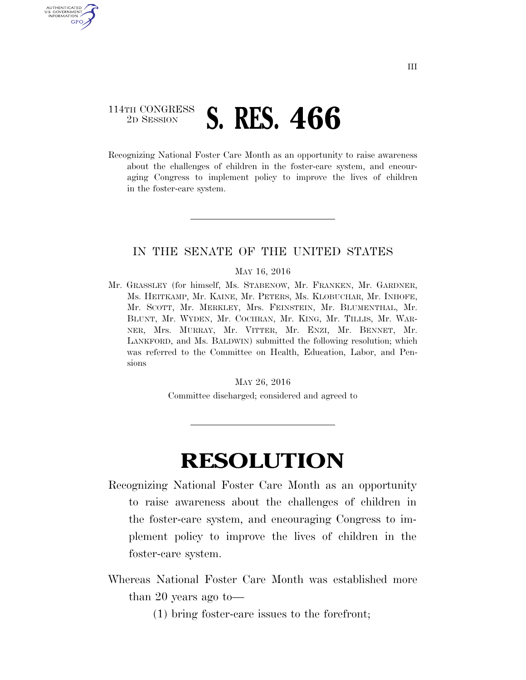## 114TH CONGRESS <sup>2D SESSION</sup> **S. RES. 466**

U.S. GOVERNMENT GPO

> Recognizing National Foster Care Month as an opportunity to raise awareness about the challenges of children in the foster-care system, and encouraging Congress to implement policy to improve the lives of children in the foster-care system.

## IN THE SENATE OF THE UNITED STATES

## MAY 16, 2016

Mr. GRASSLEY (for himself, Ms. STABENOW, Mr. FRANKEN, Mr. GARDNER, Ms. HEITKAMP, Mr. KAINE, Mr. PETERS, Ms. KLOBUCHAR, Mr. INHOFE, Mr. SCOTT, Mr. MERKLEY, Mrs. FEINSTEIN, Mr. BLUMENTHAL, Mr. BLUNT, Mr. WYDEN, Mr. COCHRAN, Mr. KING, Mr. TILLIS, Mr. WAR-NER, Mrs. MURRAY, Mr. VITTER, Mr. ENZI, Mr. BENNET, Mr. LANKFORD, and Ms. BALDWIN) submitted the following resolution; which was referred to the Committee on Health, Education, Labor, and Pensions

MAY 26, 2016

Committee discharged; considered and agreed to

## **RESOLUTION**

- Recognizing National Foster Care Month as an opportunity to raise awareness about the challenges of children in the foster-care system, and encouraging Congress to implement policy to improve the lives of children in the foster-care system.
- Whereas National Foster Care Month was established more than 20 years ago to—
	- (1) bring foster-care issues to the forefront;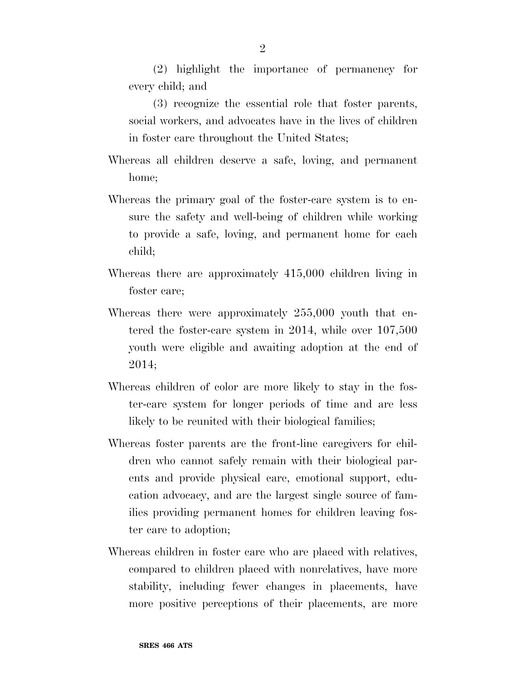(2) highlight the importance of permanency for every child; and

(3) recognize the essential role that foster parents, social workers, and advocates have in the lives of children in foster care throughout the United States;

- Whereas all children deserve a safe, loving, and permanent home;
- Whereas the primary goal of the foster-care system is to ensure the safety and well-being of children while working to provide a safe, loving, and permanent home for each child;
- Whereas there are approximately 415,000 children living in foster care;
- Whereas there were approximately 255,000 youth that entered the foster-care system in 2014, while over 107,500 youth were eligible and awaiting adoption at the end of 2014;
- Whereas children of color are more likely to stay in the foster-care system for longer periods of time and are less likely to be reunited with their biological families;
- Whereas foster parents are the front-line caregivers for children who cannot safely remain with their biological parents and provide physical care, emotional support, education advocacy, and are the largest single source of families providing permanent homes for children leaving foster care to adoption;
- Whereas children in foster care who are placed with relatives, compared to children placed with nonrelatives, have more stability, including fewer changes in placements, have more positive perceptions of their placements, are more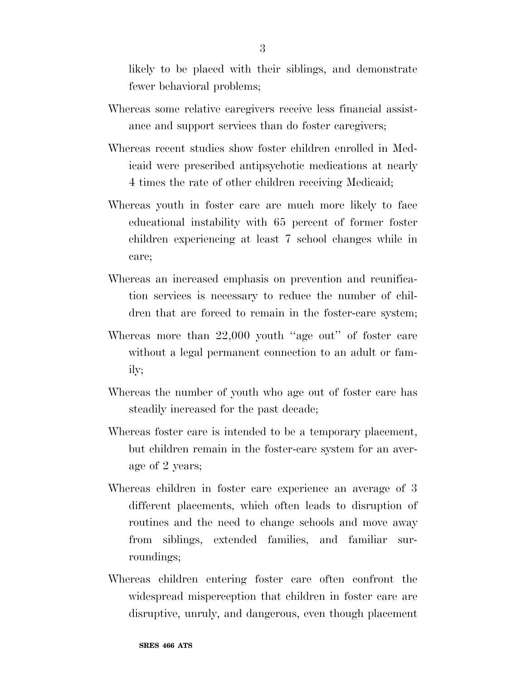likely to be placed with their siblings, and demonstrate fewer behavioral problems;

- Whereas some relative caregivers receive less financial assistance and support services than do foster caregivers;
- Whereas recent studies show foster children enrolled in Medicaid were prescribed antipsychotic medications at nearly 4 times the rate of other children receiving Medicaid;
- Whereas youth in foster care are much more likely to face educational instability with 65 percent of former foster children experiencing at least 7 school changes while in care;
- Whereas an increased emphasis on prevention and reunification services is necessary to reduce the number of children that are forced to remain in the foster-care system;
- Whereas more than 22,000 youth "age out" of foster care without a legal permanent connection to an adult or family;
- Whereas the number of youth who age out of foster care has steadily increased for the past decade;
- Whereas foster care is intended to be a temporary placement, but children remain in the foster-care system for an average of 2 years;
- Whereas children in foster care experience an average of 3 different placements, which often leads to disruption of routines and the need to change schools and move away from siblings, extended families, and familiar surroundings;
- Whereas children entering foster care often confront the widespread misperception that children in foster care are disruptive, unruly, and dangerous, even though placement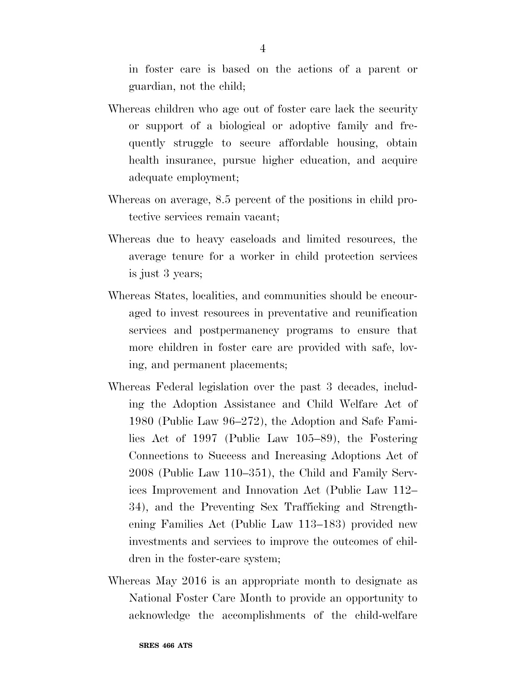in foster care is based on the actions of a parent or guardian, not the child;

- Whereas children who age out of foster care lack the security or support of a biological or adoptive family and frequently struggle to secure affordable housing, obtain health insurance, pursue higher education, and acquire adequate employment;
- Whereas on average, 8.5 percent of the positions in child protective services remain vacant;
- Whereas due to heavy caseloads and limited resources, the average tenure for a worker in child protection services is just 3 years;
- Whereas States, localities, and communities should be encouraged to invest resources in preventative and reunification services and postpermanency programs to ensure that more children in foster care are provided with safe, loving, and permanent placements;
- Whereas Federal legislation over the past 3 decades, including the Adoption Assistance and Child Welfare Act of 1980 (Public Law 96–272), the Adoption and Safe Families Act of 1997 (Public Law 105–89), the Fostering Connections to Success and Increasing Adoptions Act of 2008 (Public Law 110–351), the Child and Family Services Improvement and Innovation Act (Public Law 112– 34), and the Preventing Sex Trafficking and Strengthening Families Act (Public Law 113–183) provided new investments and services to improve the outcomes of children in the foster-care system;
- Whereas May 2016 is an appropriate month to designate as National Foster Care Month to provide an opportunity to acknowledge the accomplishments of the child-welfare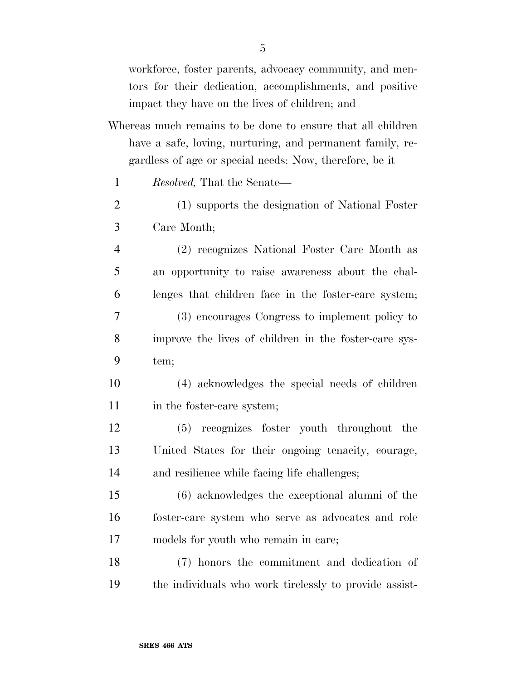workforce, foster parents, advocacy community, and mentors for their dedication, accomplishments, and positive impact they have on the lives of children; and

- Whereas much remains to be done to ensure that all children have a safe, loving, nurturing, and permanent family, regardless of age or special needs: Now, therefore, be it
	- *Resolved,* That the Senate—
- (1) supports the designation of National Foster Care Month;
- (2) recognizes National Foster Care Month as an opportunity to raise awareness about the chal- lenges that children face in the foster-care system; (3) encourages Congress to implement policy to improve the lives of children in the foster-care sys-
- tem;
- (4) acknowledges the special needs of children 11 in the foster-care system;
- (5) recognizes foster youth throughout the United States for their ongoing tenacity, courage, and resilience while facing life challenges;
- (6) acknowledges the exceptional alumni of the foster-care system who serve as advocates and role models for youth who remain in care;
- (7) honors the commitment and dedication of the individuals who work tirelessly to provide assist-